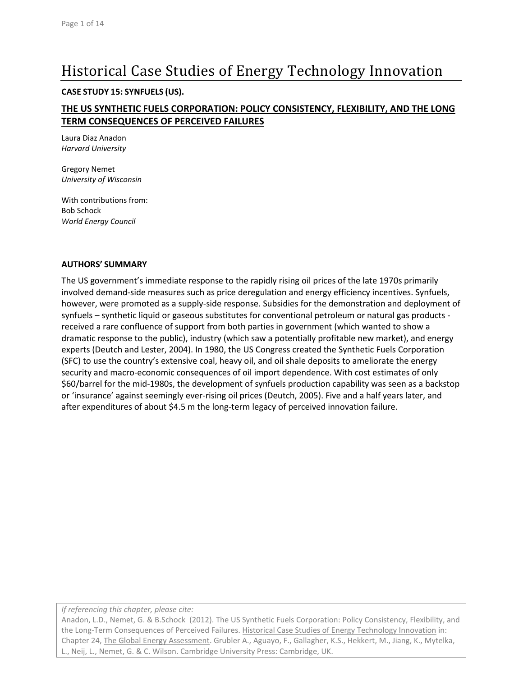# Historical Case Studies of Energy Technology Innovation

#### **CASE STUDY 15: SYNFUELS (US).**

## **THE US SYNTHETIC FUELS CORPORATION: POLICY CONSISTENCY, FLEXIBILITY, AND THE LONG TERM CONSEQUENCES OF PERCEIVED FAILURES**

Laura Diaz Anadon *Harvard University*

Gregory Nemet *University of Wisconsin*

With contributions from: Bob Schock *World Energy Council*

#### **AUTHORS' SUMMARY**

The US government's immediate response to the rapidly rising oil prices of the late 1970s primarily involved demand-side measures such as price deregulation and energy efficiency incentives. Synfuels, however, were promoted as a supply-side response. Subsidies for the demonstration and deployment of synfuels – synthetic liquid or gaseous substitutes for conventional petroleum or natural gas products received a rare confluence of support from both parties in government (which wanted to show a dramatic response to the public), industry (which saw a potentially profitable new market), and energy experts [\(Deutch and Lester, 2004\)](#page-11-0). In 1980, the US Congress created the Synthetic Fuels Corporation (SFC) to use the country's extensive coal, heavy oil, and oil shale deposits to ameliorate the energy security and macro-economic consequences of oil import dependence. With cost estimates of only \$60/barrel for the mid-1980s, the development of synfuels production capability was seen as a backstop or 'insurance' against seemingly ever-rising oil prices [\(Deutch, 2005\)](#page-11-1). Five and a half years later, and after expenditures of about \$4.5 m the long-term legacy of perceived innovation failure.

*If referencing this chapter, please cite:*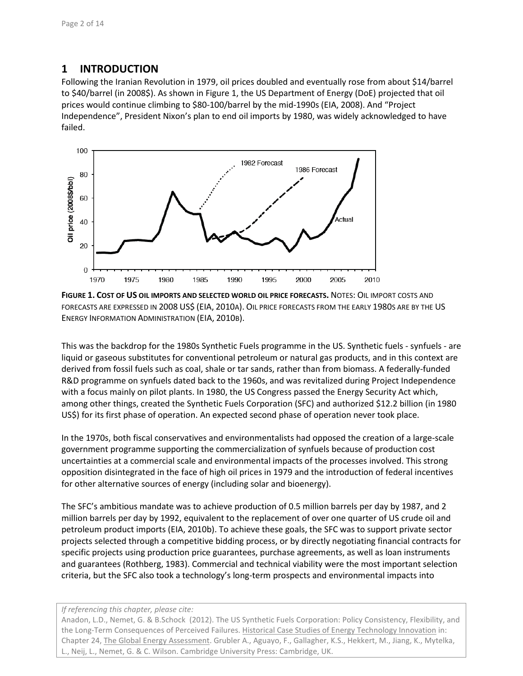# **1 INTRODUCTION**

Following the Iranian Revolution in 1979, oil prices doubled and eventually rose from about \$14/barrel to \$40/barrel (in 2008\$). As shown i[n Figure 1,](#page-1-0) the US Department of Energy (DoE) projected that oil prices would continue climbing to \$80-100/barrel by the mid-1990s [\(EIA, 2008\)](#page-12-0). And "Project Independence", President Nixon's plan to end oil imports by 1980, was widely acknowledged to have failed.



<span id="page-1-0"></span>**FIGURE 1. COST OF US OIL IMPORTS AND SELECTED WORLD OIL PRICE FORECASTS.** NOTES: OIL IMPORT COSTS AND FORECASTS ARE EXPRESSED IN 2008 US\$ (EIA, [2010A\)](#page-12-1). OIL PRICE FORECASTS FROM THE EARLY 1980S ARE BY THE US ENERGY INFORMATION ADMINISTRATION (EIA, [2010B\)](#page-12-2).

This was the backdrop for the 1980s Synthetic Fuels programme in the US. Synthetic fuels - synfuels - are liquid or gaseous substitutes for conventional petroleum or natural gas products, and in this context are derived from fossil fuels such as coal, shale or tar sands, rather than from biomass. A federally-funded R&D programme on synfuels dated back to the 1960s, and was revitalized during Project Independence with a focus mainly on pilot plants. In 1980, the US Congress passed the Energy Security Act which, among other things, created the Synthetic Fuels Corporation (SFC) and authorized \$12.2 billion (in 1980 US\$) for its first phase of operation. An expected second phase of operation never took place.

In the 1970s, both fiscal conservatives and environmentalists had opposed the creation of a large-scale government programme supporting the commercialization of synfuels because of production cost uncertainties at a commercial scale and environmental impacts of the processes involved. This strong opposition disintegrated in the face of high oil prices in 1979 and the introduction of federal incentives for other alternative sources of energy (including solar and bioenergy).

The SFC's ambitious mandate was to achieve production of 0.5 million barrels per day by 1987, and 2 million barrels per day by 1992, equivalent to the replacement of over one quarter of US crude oil and petroleum product imports [\(EIA, 2010b\)](#page-12-2). To achieve these goals, the SFC was to support private sector projects selected through a competitive bidding process, or by directly negotiating financial contracts for specific projects using production price guarantees, purchase agreements, as well as loan instruments and guarantees [\(Rothberg, 1983\)](#page-12-3). Commercial and technical viability were the most important selection criteria, but the SFC also took a technology's long-term prospects and environmental impacts into

#### *If referencing this chapter, please cite:*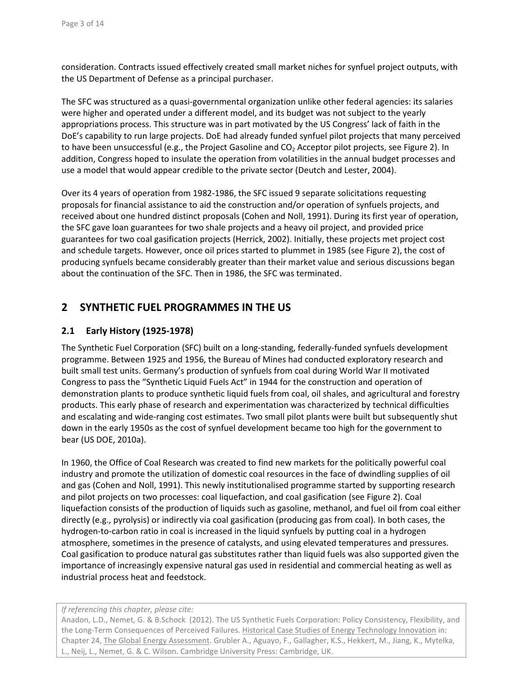consideration. Contracts issued effectively created small market niches for synfuel project outputs, with the US Department of Defense as a principal purchaser.

The SFC was structured as a quasi-governmental organization unlike other federal agencies: its salaries were higher and operated under a different model, and its budget was not subject to the yearly appropriations process. This structure was in part motivated by the US Congress' lack of faith in the DoE's capability to run large projects. DoE had already funded synfuel pilot projects that many perceived to have been unsuccessful (e.g., the Project Gasoline and  $CO<sub>2</sub>$  Acceptor pilot projects, see [Figure 2\)](#page-3-0). In addition, Congress hoped to insulate the operation from volatilities in the annual budget processes and use a model that would appear credible to the private sector [\(Deutch and Lester, 2004\)](#page-11-0).

Over its 4 years of operation from 1982-1986, the SFC issued 9 separate solicitations requesting proposals for financial assistance to aid the construction and/or operation of synfuels projects, and received about one hundred distinct proposals [\(Cohen and Noll, 1991\)](#page-11-2). During its first year of operation, the SFC gave loan guarantees for two shale projects and a heavy oil project, and provided price guarantees for two coal gasification projects [\(Herrick, 2002\)](#page-12-4). Initially, these projects met project cost and schedule targets. However, once oil prices started to plummet in 1985 (see [Figure 2\)](#page-3-0), the cost of producing synfuels became considerably greater than their market value and serious discussions began about the continuation of the SFC. Then in 1986, the SFC was terminated.

## **2 SYNTHETIC FUEL PROGRAMMES IN THE US**

### **2.1 Early History (1925-1978)**

The Synthetic Fuel Corporation (SFC) built on a long-standing, federally-funded synfuels development programme. Between 1925 and 1956, the Bureau of Mines had conducted exploratory research and built small test units. Germany's production of synfuels from coal during World War II motivated Congress to pass the "Synthetic Liquid Fuels Act" in 1944 for the construction and operation of demonstration plants to produce synthetic liquid fuels from coal, oil shales, and agricultural and forestry products. This early phase of research and experimentation was characterized by technical difficulties and escalating and wide-ranging cost estimates. Two small pilot plants were built but subsequently shut down in the early 1950s as the cost of synfuel development became too high for the government to bear [\(US DOE, 2010a\)](#page-13-0).

In 1960, the Office of Coal Research was created to find new markets for the politically powerful coal industry and promote the utilization of domestic coal resources in the face of dwindling supplies of oil and gas [\(Cohen and Noll, 1991\)](#page-11-2). This newly institutionalised programme started by supporting research and pilot projects on two processes: coal liquefaction, and coal gasification (se[e Figure 2\)](#page-3-0). Coal liquefaction consists of the production of liquids such as gasoline, methanol, and fuel oil from coal either directly (e.g., pyrolysis) or indirectly via coal gasification (producing gas from coal). In both cases, the hydrogen-to-carbon ratio in coal is increased in the liquid synfuels by putting coal in a hydrogen atmosphere, sometimes in the presence of catalysts, and using elevated temperatures and pressures. Coal gasification to produce natural gas substitutes rather than liquid fuels was also supported given the importance of increasingly expensive natural gas used in residential and commercial heating as well as industrial process heat and feedstock.

#### *If referencing this chapter, please cite:*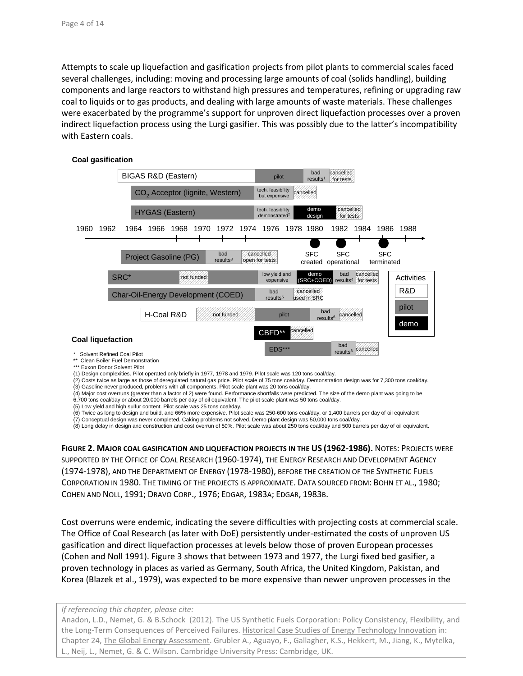Attempts to scale up liquefaction and gasification projects from pilot plants to commercial scales faced several challenges, including: moving and processing large amounts of coal (solids handling), building components and large reactors to withstand high pressures and temperatures, refining or upgrading raw coal to liquids or to gas products, and dealing with large amounts of waste materials. These challenges were exacerbated by the programme's support for unproven direct liquefaction processes over a proven indirect liquefaction process using the Lurgi gasifier. This was possibly due to the latter's incompatibility with Eastern coals.



(1) Design complexities. Pilot operated only briefly in 1977, 1978 and 1979. Pilot scale was 120 tons coal/day.

(2) Costs twice as large as those of deregulated natural gas price. Pilot scale of 75 tons coal/day. Demonstration design was for 7,300 tons coal/day.

(3) Gasoline never produced, problems with all components. Pilot scale plant was 20 tons coal/day.

(4) Major cost overruns (greater than a factor of 2) were found. Performance shortfalls were predicted. The size of the demo plant was going to be 6,700 tons coal/day or about 20,000 barrels per day of oil equivalent. The pilot scale plant was 50 tons coal/day.

(5) Low yield and high sulfur content. Pilot scale was 25 tons coal/day.

(6) Twice as long to design and build, and 66% more expensive. Pilot scale was 250-600 tons coal/day, or 1,400 barrels per day of oil equivalent

(7) Conceptual design was never completed. Caking problems not solved. Demo plant design was 50,000 tons coal/day.

(8) Long delay in design and construction and cost overrun of 50%. Pilot scale was about 250 tons coal/day and 500 barrels per day of oil equivalent.

<span id="page-3-0"></span>**FIGURE 2. MAJOR COAL GASIFICATION AND LIQUEFACTION PROJECTS IN THE US (1962-1986).** NOTES: PROJECTS WERE SUPPORTED BY THE OFFICE OF COAL RESEARCH (1960-1974), THE ENERGY RESEARCH AND DEVELOPMENT AGENCY (1974-1978), AND THE DEPARTMENT OF ENERGY (1978-1980), BEFORE THE CREATION OF THE SYNTHETIC FUELS CORPORATION IN 1980. THE TIMING OF THE PROJECTS IS APPROXIMATE. DATA SOURCED FROM: [BOHN ET AL.,](#page-11-3) 1980; [COHEN AND NOLL,](#page-11-2) 1991; [DRAVO CORP.,](#page-11-4) 1976; [EDGAR,](#page-11-5) 1983A; [EDGAR,](#page-11-6) 1983B.

Cost overruns were endemic, indicating the severe difficulties with projecting costs at commercial scale. The Office of Coal Research (as later with DoE) persistently under-estimated the costs of unproven US gasification and direct liquefaction processes at levels below those of proven European processes (Cohen and Noll 1991). Figure 3 shows that between 1973 and 1977, the Lurgi fixed bed gasifier, a proven technology in places as varied as Germany, South Africa, the United Kingdom, Pakistan, and Korea [\(Blazek et al., 1979\)](#page-11-7), was expected to be more expensive than newer unproven processes in the

*If referencing this chapter, please cite:*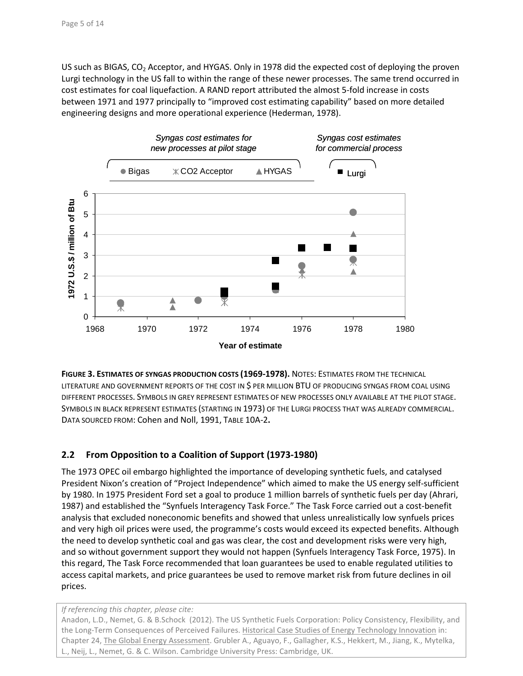US such as BIGAS,  $CO<sub>2</sub>$  Acceptor, and HYGAS. Only in 1978 did the expected cost of deploying the proven Lurgi technology in the US fall to within the range of these newer processes. The same trend occurred in cost estimates for coal liquefaction. A RAND report attributed the almost 5-fold increase in costs between 1971 and 1977 principally to "improved cost estimating capability" based on more detailed engineering designs and more operational experience [\(Hederman, 1978\)](#page-12-5).



**FIGURE 3. ESTIMATES OF SYNGAS PRODUCTION COSTS (1969-1978).** NOTES: ESTIMATES FROM THE TECHNICAL LITERATURE AND GOVERNMENT REPORTS OF THE COST IN \$ PER MILLION BTU OF PRODUCING SYNGAS FROM COAL USING DIFFERENT PROCESSES. SYMBOLS IN GREY REPRESENT ESTIMATES OF NEW PROCESSES ONLY AVAILABLE AT THE PILOT STAGE. SYMBOLS IN BLACK REPRESENT ESTIMATES (STARTING IN 1973) OF THE LURGI PROCESS THAT WAS ALREADY COMMERCIAL. DATA SOURCED FROM: [Cohen and Noll, 1991,](#page-11-2) TABLE 10A-2**.**

## **2.2 From Opposition to a Coalition of Support (1973-1980)**

The 1973 OPEC oil embargo highlighted the importance of developing synthetic fuels, and catalysed President Nixon's creation of "Project Independence" which aimed to make the US energy self-sufficient by 1980. In 1975 President Ford set a goal to produce 1 million barrels of synthetic fuels per day [\(Ahrari,](#page-11-8)  1987) and established the "Synfuels Interagency Task Force." The Task Force carried out a cost-benefit analysis that excluded noneconomic benefits and showed that unless unrealistically low synfuels prices and very high oil prices were used, the programme's costs would exceed its expected benefits. Although the need to develop synthetic coal and gas was clear, the cost and development risks were very high, and so without government support they would not happen [\(Synfuels Interagency Task Force, 1975\)](#page-12-6). In this regard, The Task Force recommended that loan guarantees be used to enable regulated utilities to access capital markets, and price guarantees be used to remove market risk from future declines in oil prices.

*If referencing this chapter, please cite:*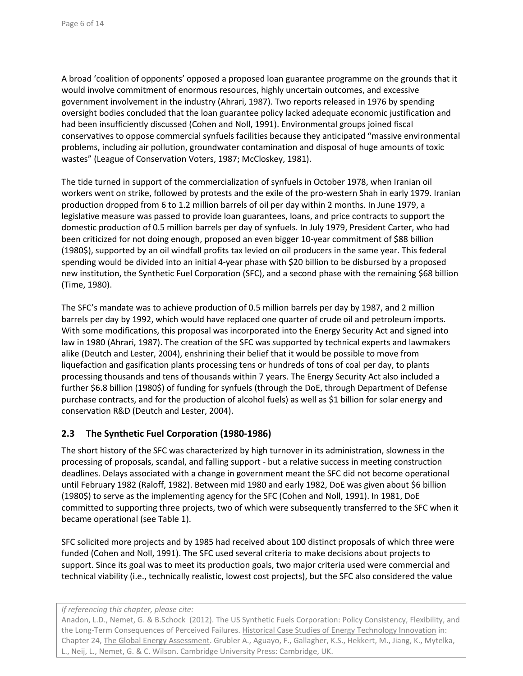A broad 'coalition of opponents' opposed a proposed loan guarantee programme on the grounds that it would involve commitment of enormous resources, highly uncertain outcomes, and excessive government involvement in the industry [\(Ahrari, 1987\)](#page-11-8). Two reports released in 1976 by spending oversight bodies concluded that the loan guarantee policy lacked adequate economic justification and had been insufficiently discussed (Cohen and Noll, 1991). Environmental groups joined fiscal conservatives to oppose commercial synfuels facilities because they anticipated "massive environmental problems, including air pollution, groundwater contamination and disposal of huge amounts of toxic wastes" [\(League of Conservation Voters, 1987;](#page-12-7) [McCloskey, 1981\)](#page-12-8).

The tide turned in support of the commercialization of synfuels in October 1978, when Iranian oil workers went on strike, followed by protests and the exile of the pro-western Shah in early 1979. Iranian production dropped from 6 to 1.2 million barrels of oil per day within 2 months. In June 1979, a legislative measure was passed to provide loan guarantees, loans, and price contracts to support the domestic production of 0.5 million barrels per day of synfuels. In July 1979, President Carter, who had been criticized for not doing enough, proposed an even bigger 10-year commitment of \$88 billion (1980\$), supported by an oil windfall profits tax levied on oil producers in the same year. This federal spending would be divided into an initial 4-year phase with \$20 billion to be disbursed by a proposed new institution, the Synthetic Fuel Corporation (SFC), and a second phase with the remaining \$68 billion [\(Time, 1980\)](#page-12-9).

The SFC's mandate was to achieve production of 0.5 million barrels per day by 1987, and 2 million barrels per day by 1992, which would have replaced one quarter of crude oil and petroleum imports. With some modifications, this proposal was incorporated into the Energy Security Act and signed into law in 1980 [\(Ahrari, 1987\)](#page-11-8). The creation of the SFC was supported by technical experts and lawmakers alike [\(Deutch and Lester, 2004\)](#page-11-0), enshrining their belief that it would be possible to move from liquefaction and gasification plants processing tens or hundreds of tons of coal per day, to plants processing thousands and tens of thousands within 7 years. The Energy Security Act also included a further \$6.8 billion (1980\$) of funding for synfuels (through the DoE, through Department of Defense purchase contracts, and for the production of alcohol fuels) as well as \$1 billion for solar energy and conservation R&D [\(Deutch and Lester, 2004\)](#page-11-0).

#### **2.3 The Synthetic Fuel Corporation (1980-1986)**

The short history of the SFC was characterized by high turnover in its administration, slowness in the processing of proposals, scandal, and falling support - but a relative success in meeting construction deadlines. Delays associated with a change in government meant the SFC did not become operational until February 1982 [\(Raloff, 1982\)](#page-12-10). Between mid 1980 and early 1982, DoE was given about \$6 billion (1980\$) to serve as the implementing agency for the SFC [\(Cohen and Noll, 1991\)](#page-11-2). In 1981, DoE committed to supporting three projects, two of which were subsequently transferred to the SFC when it became operational (see [Table 1\)](#page-6-0).

SFC solicited more projects and by 1985 had received about 100 distinct proposals of which three were funded [\(Cohen and Noll, 1991\)](#page-11-2). The SFC used several criteria to make decisions about projects to support. Since its goal was to meet its production goals, two major criteria used were commercial and technical viability (i.e., technically realistic, lowest cost projects), but the SFC also considered the value

*If referencing this chapter, please cite:*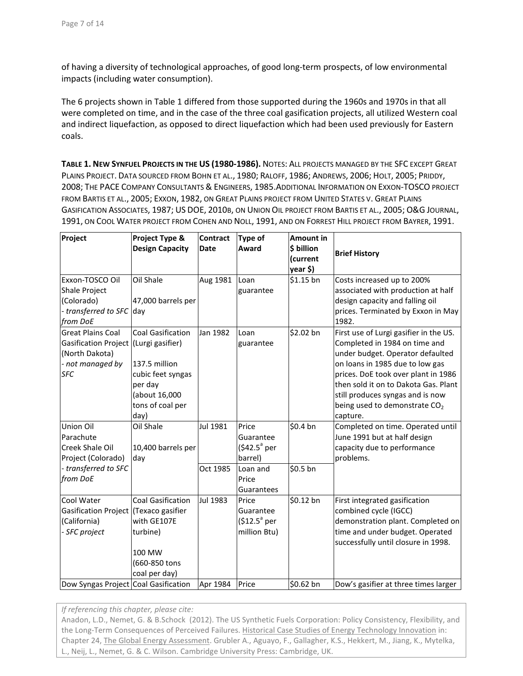of having a diversity of technological approaches, of good long-term prospects, of low environmental impacts (including water consumption).

The 6 projects shown i[n Table 1](#page-6-0) differed from those supported during the 1960s and 1970s in that all were completed on time, and in the case of the three coal gasification projects, all utilized Western coal and indirect liquefaction, as opposed to direct liquefaction which had been used previously for Eastern coals.

<span id="page-6-0"></span>**TABLE 1. NEW SYNFUEL PROJECTS IN THE US (1980-1986).** NOTES: ALL PROJECTS MANAGED BY THE SFC EXCEPT GREAT PLAINS PROJECT. DATA SOURCED FRO[M BOHN ET AL.,](#page-11-3) 1980; [RALOFF,](#page-12-11) 1986; [ANDREWS,](#page-11-9) 2006; HOLT, [2005;](#page-12-12) [PRIDDY,](#page-12-13) [2008;](#page-12-13) THE PACE [COMPANY CONSULTANTS &](#page-12-14) ENGINEERS, 1985.ADDITIONAL INFORMATION ON EXXON-TOSCO PROJECT FROM [BARTIS ET AL.,](#page-11-10) 2005; [EXXON,](#page-12-15) 1982, ON GREAT PLAINS PROJECT FROM [UNITED STATES V.](#page-13-1) GREAT PLAINS [GASIFICATION ASSOCIATES,](#page-13-1) 1987; US DOE, [2010B,](#page-13-2) ON UNION OIL PROJECT FROM [BARTIS ET AL.,](#page-11-10) 2005; O&G [JOURNAL,](#page-12-16) [1991,](#page-12-16) ON COOL WATER PROJECT FROM [COHEN AND NOLL,](#page-11-2) 1991, AND ON FORREST HILL PROJECT FROM [BAYRER,](#page-11-11) 1991.

| Project                                                                                                     | Project Type &<br><b>Design Capacity</b>                                                                                                   | <b>Contract</b><br><b>Date</b> | <b>Type of</b><br>Award                                   | <b>Amount in</b><br>\$ billion<br>(current | <b>Brief History</b>                                                                                                                                                                                                                                                                                                       |
|-------------------------------------------------------------------------------------------------------------|--------------------------------------------------------------------------------------------------------------------------------------------|--------------------------------|-----------------------------------------------------------|--------------------------------------------|----------------------------------------------------------------------------------------------------------------------------------------------------------------------------------------------------------------------------------------------------------------------------------------------------------------------------|
|                                                                                                             |                                                                                                                                            |                                |                                                           | year \$)                                   |                                                                                                                                                                                                                                                                                                                            |
| Exxon-TOSCO Oil<br>Shale Project<br>(Colorado)<br>- transferred to SFC<br>from DoE                          | Oil Shale<br>47,000 barrels per<br>day                                                                                                     | Aug 1981                       | Loan<br>guarantee                                         | $$1.15$ bn                                 | Costs increased up to 200%<br>associated with production at half<br>design capacity and falling oil<br>prices. Terminated by Exxon in May<br>1982.                                                                                                                                                                         |
| <b>Great Plains Coal</b><br><b>Gasification Project</b><br>(North Dakota)<br>- not managed by<br><b>SFC</b> | <b>Coal Gasification</b><br>(Lurgi gasifier)<br>137.5 million<br>cubic feet syngas<br>per day<br>(about 16,000<br>tons of coal per<br>day) | Jan 1982                       | Loan<br>guarantee                                         | \$2.02 bn                                  | First use of Lurgi gasifier in the US.<br>Completed in 1984 on time and<br>under budget. Operator defaulted<br>on loans in 1985 due to low gas<br>prices. DoE took over plant in 1986<br>then sold it on to Dakota Gas. Plant<br>still produces syngas and is now<br>being used to demonstrate CO <sub>2</sub><br>capture. |
| Union Oil<br>Parachute<br>Creek Shale Oil<br>Project (Colorado)                                             | Oil Shale<br>10,400 barrels per<br>day                                                                                                     | Jul 1981                       | Price<br>Guarantee<br>$$42.5^{\circ}$ per<br>barrel)      | \$0.4 bn                                   | Completed on time. Operated until<br>June 1991 but at half design<br>capacity due to performance<br>problems.                                                                                                                                                                                                              |
| - transferred to SFC<br>from DoE                                                                            |                                                                                                                                            | Oct 1985                       | Loan and<br>Price<br>Guarantees                           | \$0.5 bn                                   |                                                                                                                                                                                                                                                                                                                            |
| Cool Water<br><b>Gasification Project</b><br>(California)<br>- SFC project                                  | <b>Coal Gasification</b><br>(Texaco gasifier<br>with GE107E<br>turbine)<br>100 MW<br>(660-850 tons<br>coal per day)                        | Jul 1983                       | Price<br>Guarantee<br>$$12.5^{\circ}$ per<br>million Btu) | \$0.12 bn                                  | First integrated gasification<br>combined cycle (IGCC)<br>demonstration plant. Completed on<br>time and under budget. Operated<br>successfully until closure in 1998.                                                                                                                                                      |
| Dow Syngas Project Coal Gasification                                                                        |                                                                                                                                            | Apr 1984                       | Price                                                     | \$0.62 bn                                  | Dow's gasifier at three times larger                                                                                                                                                                                                                                                                                       |

*If referencing this chapter, please cite:*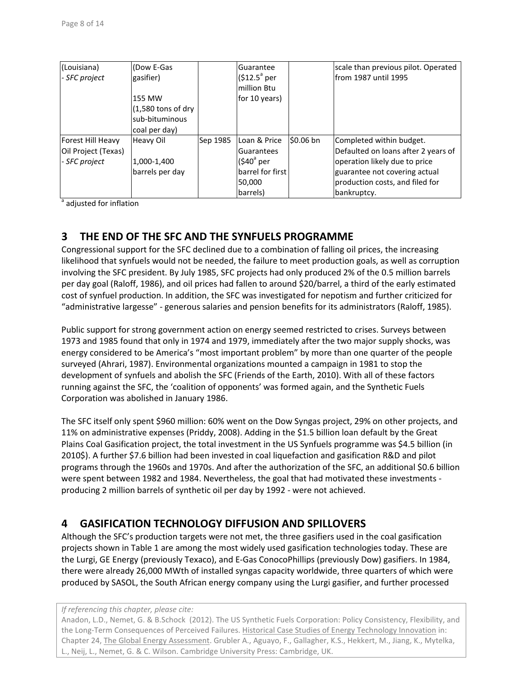| (Louisiana)         | (Dow E-Gas           |          | Guarantee           |            | scale than previous pilot. Operated |
|---------------------|----------------------|----------|---------------------|------------|-------------------------------------|
| - SFC project       | gasifier)            |          | $$12.5^{\circ}$ per |            | lfrom 1987 until 1995               |
|                     |                      |          | million Btu         |            |                                     |
|                     | 155 MW               |          | for 10 years)       |            |                                     |
|                     | $(1,580$ tons of dry |          |                     |            |                                     |
|                     | sub-bituminous       |          |                     |            |                                     |
|                     | coal per day)        |          |                     |            |                                     |
| Forest Hill Heavy   | Heavy Oil            | Sep 1985 | Loan & Price        | $$0.06$ bn | Completed within budget.            |
| Oil Project (Texas) |                      |          | <b>Guarantees</b>   |            | Defaulted on loans after 2 years of |
| - SFC project       | 1,000-1,400          |          | $(540^{\circ}$ per  |            | operation likely due to price       |
|                     | barrels per day      |          | barrel for first    |            | guarantee not covering actual       |
|                     |                      |          | 50,000              |            | production costs, and filed for     |
|                     |                      |          | barrels)            |            | bankruptcy.                         |

<sup>a</sup> adjusted for inflation

# **3 THE END OF THE SFC AND THE SYNFUELS PROGRAMME**

Congressional support for the SFC declined due to a combination of falling oil prices, the increasing likelihood that synfuels would not be needed, the failure to meet production goals, as well as corruption involving the SFC president. By July 1985, SFC projects had only produced 2% of the 0.5 million barrels per day goal [\(Raloff, 1986\)](#page-12-11), and oil prices had fallen to around \$20/barrel, a third of the early estimated cost of synfuel production. In addition, the SFC was investigated for nepotism and further criticized for "administrative largesse" - generous salaries and pension benefits for its administrators [\(Raloff,](#page-12-17) 1985).

Public support for strong government action on energy seemed restricted to crises. Surveys between 1973 and 1985 found that only in 1974 and 1979, immediately after the two major supply shocks, was energy considered to be America's "most important problem" by more than one quarter of the people surveyed [\(Ahrari, 1987\)](#page-11-8). Environmental organizations mounted a campaign in 1981 to stop the development of synfuels and abolish the SFC [\(Friends of the Earth, 2010\)](#page-12-18). With all of these factors running against the SFC, the 'coalition of opponents' was formed again, and the Synthetic Fuels Corporation was abolished in January 1986.

The SFC itself only spent \$960 million: 60% went on the Dow Syngas project, 29% on other projects, and 11% on administrative expenses [\(Priddy, 2008\)](#page-12-13). Adding in the \$1.5 billion loan default by the Great Plains Coal Gasification project, the total investment in the US Synfuels programme was \$4.5 billion (in 2010\$). A further \$7.6 billion had been invested in coal liquefaction and gasification R&D and pilot programs through the 1960s and 1970s. And after the authorization of the SFC, an additional \$0.6 billion were spent between 1982 and 1984. Nevertheless, the goal that had motivated these investments producing 2 million barrels of synthetic oil per day by 1992 - were not achieved.

# **4 GASIFICATION TECHNOLOGY DIFFUSION AND SPILLOVERS**

Although the SFC's production targets were not met, the three gasifiers used in the coal gasification projects shown i[n Table 1](#page-6-0) are among the most widely used gasification technologies today. These are the Lurgi, GE Energy (previously Texaco), and E-Gas ConocoPhillips (previously Dow) gasifiers. In 1984, there were already 26,000 MWth of installed syngas capacity worldwide, three quarters of which were produced by SASOL, the South African energy company using the Lurgi gasifier, and further processed

#### *If referencing this chapter, please cite:*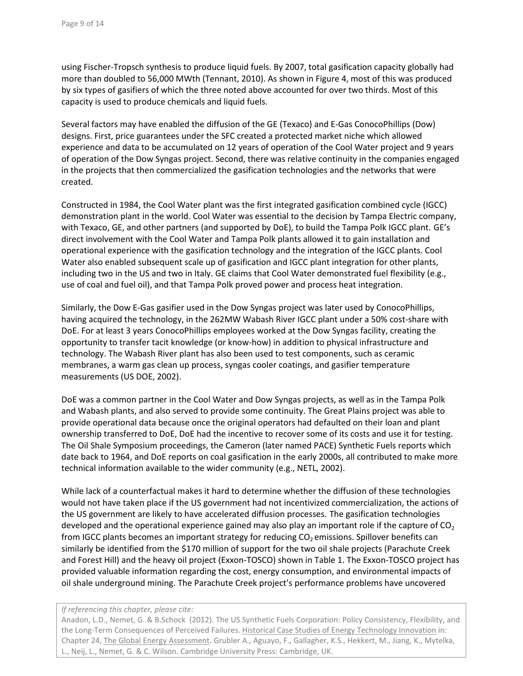using Fischer-Tropsch synthesis to produce liquid fuels. By 2007, total gasification capacity globally had more than doubled to 56,000 MWth [\(Tennant, 2010\)](#page-12-19). As shown i[n Figure 4,](#page-9-0) most of this was produced by six types of gasifiers of which the three noted above accounted for over two thirds. Most of this capacity is used to produce chemicals and liquid fuels.

Several factors may have enabled the diffusion of the GE (Texaco) and E-Gas ConocoPhillips (Dow) designs. First, price guarantees under the SFC created a protected market niche which allowed experience and data to be accumulated on 12 years of operation of the Cool Water project and 9 years of operation of the Dow Syngas project. Second, there was relative continuity in the companies engaged in the projects that then commercialized the gasification technologies and the networks that were created.

Constructed in 1984, the Cool Water plant was the first integrated gasification combined cycle (IGCC) demonstration plant in the world. Cool Water was essential to the decision by Tampa Electric company, with Texaco, GE, and other partners (and supported by DoE), to build the Tampa Polk IGCC plant. GE's direct involvement with the Cool Water and Tampa Polk plants allowed it to gain installation and operational experience with the gasification technology and the integration of the IGCC plants. Cool Water also enabled subsequent scale up of gasification and IGCC plant integration for other plants, including two in the US and two in Italy. GE claims that Cool Water demonstrated fuel flexibility (e.g., use of coal and fuel oil), and that Tampa Polk proved power and process heat integration.

Similarly, the Dow E-Gas gasifier used in the Dow Syngas project was later used by ConocoPhillips, having acquired the technology, in the 262MW Wabash River IGCC plant under a 50% cost-share with DoE. For at least 3 years ConocoPhillips employees worked at the Dow Syngas facility, creating the opportunity to transfer tacit knowledge (or know-how) in addition to physical infrastructure and technology. The Wabash River plant has also been used to test components, such as ceramic membranes, a warm gas clean up process, syngas cooler coatings, and gasifier temperature measurements [\(US DOE, 2002\)](#page-13-3).

DoE was a common partner in the Cool Water and Dow Syngas projects, as well as in the Tampa Polk and Wabash plants, and also served to provide some continuity. The Great Plains project was able to provide operational data because once the original operators had defaulted on their loan and plant ownership transferred to DoE, DoE had the incentive to recover some of its costs and use it for testing. The Oil Shale Symposium proceedings, the Cameron (later named PACE) Synthetic Fuels reports which date back to 1964, and DoE reports on coal gasification in the early 2000s, all contributed to make more technical information available to the wider community (e.g., [NETL, 2002\)](#page-12-20).

While lack of a counterfactual makes it hard to determine whether the diffusion of these technologies would not have taken place if the US government had not incentivized commercialization, the actions of the US government are likely to have accelerated diffusion processes. The gasification technologies developed and the operational experience gained may also play an important role if the capture of  $CO<sub>2</sub>$ from IGCC plants becomes an important strategy for reducing  $CO<sub>2</sub>$  emissions. Spillover benefits can similarly be identified from the \$170 million of support for the two oil shale projects (Parachute Creek and Forest Hill) and the heavy oil project (Exxon-TOSCO) shown in [Table 1.](#page-6-0) The Exxon-TOSCO project has provided valuable information regarding the cost, energy consumption, and environmental impacts of oil shale underground mining. The Parachute Creek project's performance problems have uncovered

#### *If referencing this chapter, please cite:*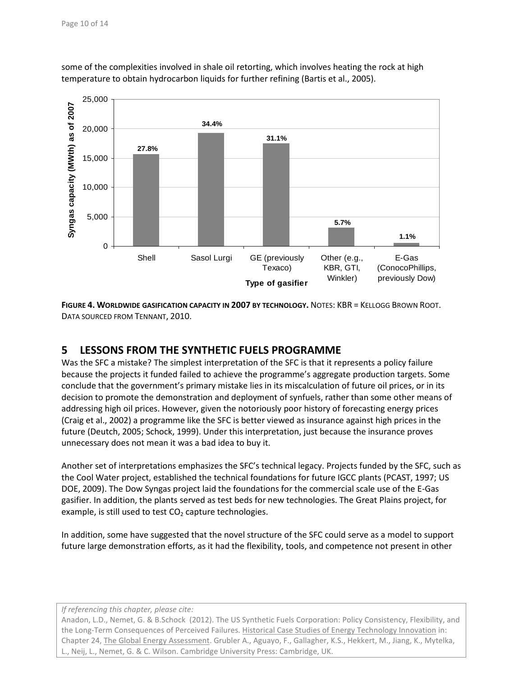

some of the complexities involved in shale oil retorting, which involves heating the rock at high temperature to obtain hydrocarbon liquids for further refining [\(Bartis et al., 2005\)](#page-11-10).

<span id="page-9-0"></span>**FIGURE 4. WORLDWIDE GASIFICATION CAPACITY IN 2007 BY TECHNOLOGY.** NOTES: KBR = KELLOGG BROWN ROOT. DATA SOURCED FROM [TENNANT,](#page-12-19) 2010.

# **5 LESSONS FROM THE SYNTHETIC FUELS PROGRAMME**

Was the SFC a mistake? The simplest interpretation of the SFC is that it represents a policy failure because the projects it funded failed to achieve the programme's aggregate production targets. Some conclude that the government's primary mistake lies in its miscalculation of future oil prices, or in its decision to promote the demonstration and deployment of synfuels, rather than some other means of addressing high oil prices. However, given the notoriously poor history of forecasting energy prices [\(Craig et al., 2002\)](#page-11-12) a programme like the SFC is better viewed as insurance against high prices in the future [\(Deutch, 2005;](#page-11-1) [Schock, 1999\)](#page-12-21). Under this interpretation, just because the insurance proves unnecessary does not mean it was a bad idea to buy it.

Another set of interpretations emphasizes the SFC's technical legacy. Projects funded by the SFC, such as the Cool Water project, established the technical foundations for future IGCC plants [\(PCAST, 1997;](#page-12-22) [US](#page-13-4)  [DOE, 2009\)](#page-13-4). The Dow Syngas project laid the foundations for the commercial scale use of the E-Gas gasifier. In addition, the plants served as test beds for new technologies. The Great Plains project, for example, is still used to test  $CO<sub>2</sub>$  capture technologies.

In addition, some have suggested that the novel structure of the SFC could serve as a model to support future large demonstration efforts, as it had the flexibility, tools, and competence not present in other

*If referencing this chapter, please cite:*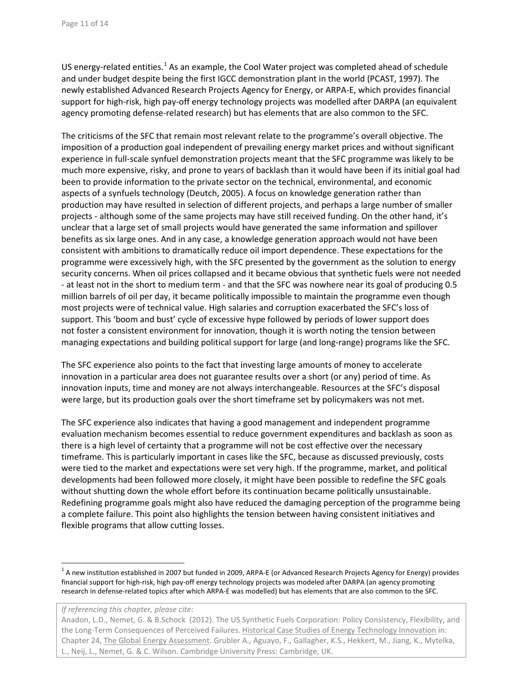US energy-related entities. $1/2$  $1/2$  As an example, the Cool Water project was completed ahead of schedule and under budget despite being the first IGCC demonstration plant in the world [\(PCAST, 1997\)](#page-12-22). The newly established Advanced Research Projects Agency for Energy, or ARPA-E, which provides financial support for high-risk, high pay-off energy technology projects was modelled after DARPA (an equivalent agency promoting defense-related research) but has elements that are also common to the SFC.

The criticisms of the SFC that remain most relevant relate to the programme's overall objective. The imposition of a production goal independent of prevailing energy market prices and without significant experience in full-scale synfuel demonstration projects meant that the SFC programme was likely to be much more expensive, risky, and prone to years of backlash than it would have been if its initial goal had been to provide information to the private sector on the technical, environmental, and economic aspects of a synfuels technology [\(Deutch, 2005\)](#page-11-1). A focus on knowledge generation rather than production may have resulted in selection of different projects, and perhaps a large number of smaller projects - although some of the same projects may have still received funding. On the other hand, it's unclear that a large set of small projects would have generated the same information and spillover benefits as six large ones. And in any case, a knowledge generation approach would not have been consistent with ambitions to dramatically reduce oil import dependence. These expectations for the programme were excessively high, with the SFC presented by the government as the solution to energy security concerns. When oil prices collapsed and it became obvious that synthetic fuels were not needed - at least not in the short to medium term - and that the SFC was nowhere near its goal of producing 0.5 million barrels of oil per day, it became politically impossible to maintain the programme even though most projects were of technical value. High salaries and corruption exacerbated the SFC's loss of support. This 'boom and bust' cycle of excessive hype followed by periods of lower support does not foster a consistent environment for innovation, though it is worth noting the tension between managing expectations and building political support for large (and long-range) programs like the SFC.

The SFC experience also points to the fact that investing large amounts of money to accelerate innovation in a particular area does not guarantee results over a short (or any) period of time. As innovation inputs, time and money are not always interchangeable. Resources at the SFC's disposal were large, but its production goals over the short timeframe set by policymakers was not met.

The SFC experience also indicates that having a good management and independent programme evaluation mechanism becomes essential to reduce government expenditures and backlash as soon as there is a high level of certainty that a programme will not be cost effective over the necessary timeframe. This is particularly important in cases like the SFC, because as discussed previously, costs were tied to the market and expectations were set very high. If the programme, market, and political developments had been followed more closely, it might have been possible to redefine the SFC goals without shutting down the whole effort before its continuation became politically unsustainable. Redefining programme goals might also have reduced the damaging perception of the programme being a complete failure. This point also highlights the tension between having consistent initiatives and flexible programs that allow cutting losses.

*If referencing this chapter, please cite:*

<span id="page-10-0"></span> $1$  A new institution established in 2007 but funded in 2009, ARPA-E (or Advanced Research Projects Agency for Energy) provides financial support for high-risk, high pay-off energy technology projects was modeled after DARPA (an agency promoting research in defense-related topics after which ARPA-E was modelled) but has elements that are also common to the SFC.

Anadon, L.D., Nemet, G. & B.Schock (2012). The US Synthetic Fuels Corporation: Policy Consistency, Flexibility, and the Long-Term Consequences of Perceived Failures. Historical Case Studies of Energy Technology Innovation in: Chapter 24, The Global Energy Assessment. Grubler A., Aguayo, F., Gallagher, K.S., Hekkert, M., Jiang, K., Mytelka, L., Neij, L., Nemet, G. & C. Wilson. Cambridge University Press: Cambridge, UK.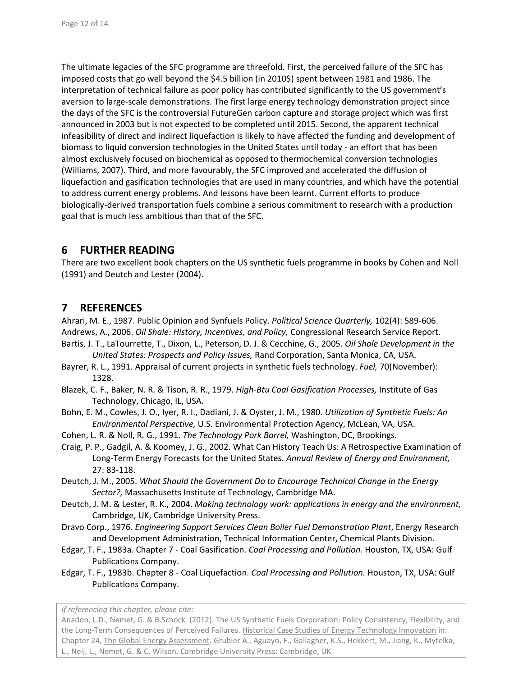The ultimate legacies of the SFC programme are threefold. First, the perceived failure of the SFC has imposed costs that go well beyond the \$4.5 billion (in 2010\$) spent between 1981 and 1986. The interpretation of technical failure as poor policy has contributed significantly to the US government's aversion to large-scale demonstrations. The first large energy technology demonstration project since the days of the SFC is the controversial FutureGen carbon capture and storage project which was first announced in 2003 but is not expected to be completed until 2015. Second, the apparent technical infeasibility of direct and indirect liquefaction is likely to have affected the funding and development of biomass to liquid conversion technologies in the United States until today - an effort that has been almost exclusively focused on biochemical as opposed to thermochemical conversion technologies [\(Williams, 2007\)](#page-13-5). Third, and more favourably, the SFC improved and accelerated the diffusion of liquefaction and gasification technologies that are used in many countries, and which have the potential to address current energy problems. And lessons have been learnt. Current efforts to produce biologically-derived transportation fuels combine a serious commitment to research with a production goal that is much less ambitious than that of the SFC.

## **6 FURTHER READING**

There are two excellent book chapters on the US synthetic fuels programme in books by Cohen and Noll (1991) and Deutch and Lester (2004).

## **7 REFERENCES**

<span id="page-11-9"></span><span id="page-11-8"></span>Ahrari, M. E., 1987. Public Opinion and Synfuels Policy. *Political Science Quarterly,* 102(4): 589-606. Andrews, A., 2006. *Oil Shale: History, Incentives, and Policy,* Congressional Research Service Report.

- <span id="page-11-10"></span>Bartis, J. T., LaTourrette, T., Dixon, L., Peterson, D. J. & Cecchine, G., 2005. *Oil Shale Development in the United States: Prospects and Policy Issues,* Rand Corporation, Santa Monica, CA, USA.
- <span id="page-11-11"></span>Bayrer, R. L., 1991. Appraisal of current projects in synthetic fuels technology. *Fuel,* 70(November): 1328.
- <span id="page-11-7"></span>Blazek, C. F., Baker, N. R. & Tison, R. R., 1979. *High-Btu Coal Gasification Processes,* Institute of Gas Technology, Chicago, IL, USA.
- <span id="page-11-3"></span>Bohn, E. M., Cowles, J. O., Iyer, R. I., Dadiani, J. & Oyster, J. M., 1980. *Utilization of Synthetic Fuels: An Environmental Perspective,* U.S. Environmental Protection Agency, McLean, VA, USA.
- <span id="page-11-2"></span>Cohen, L. R. & Noll, R. G., 1991. *The Technology Pork Barrel,* Washington, DC, Brookings.
- <span id="page-11-12"></span>Craig, P. P., Gadgil, A. & Koomey, J. G., 2002. What Can History Teach Us: A Retrospective Examination of Long-Term Energy Forecasts for the United States. *Annual Review of Energy and Environment,* 27: 83-118.
- <span id="page-11-1"></span>Deutch, J. M., 2005. *What Should the Government Do to Encourage Technical Change in the Energy Sector?,* Massachusetts Institute of Technology, Cambridge MA.
- <span id="page-11-0"></span>Deutch, J. M. & Lester, R. K., 2004. *Making technology work: applications in energy and the environment,*  Cambridge, UK, Cambridge University Press.
- <span id="page-11-4"></span>Dravo Corp., 1976. *Engineering Support Services Clean Boiler Fuel Demonstration Plant*, Energy Research and Development Administration, Technical Information Center, Chemical Plants Division.
- <span id="page-11-5"></span>Edgar, T. F., 1983a. Chapter 7 - Coal Gasification. *Coal Processing and Pollution.* Houston, TX, USA: Gulf Publications Company.
- <span id="page-11-6"></span>Edgar, T. F., 1983b. Chapter 8 - Coal Liquefaction. *Coal Processing and Pollution.* Houston, TX, USA: Gulf Publications Company.

*If referencing this chapter, please cite:*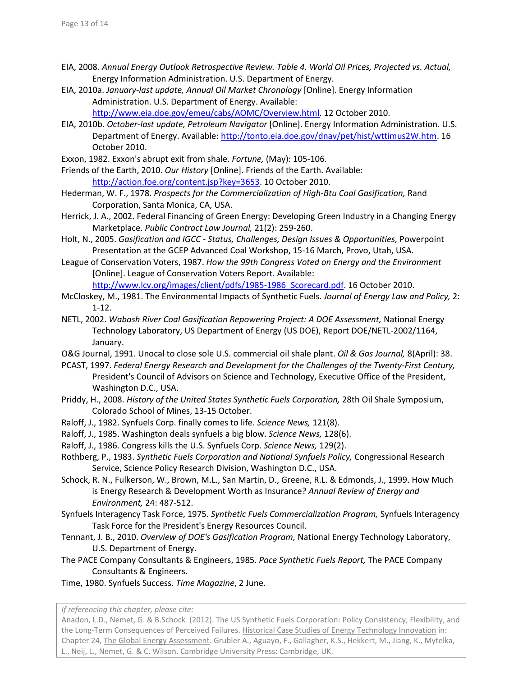- <span id="page-12-0"></span>EIA, 2008. *Annual Energy Outlook Retrospective Review. Table 4. World Oil Prices, Projected vs. Actual,* Energy Information Administration. U.S. Department of Energy.
- <span id="page-12-1"></span>EIA, 2010a. *January-last update, Annual Oil Market Chronology* [Online]. Energy Information Administration. U.S. Department of Energy. Available: [http://www.eia.doe.gov/emeu/cabs/AOMC/Overview.html.](http://www.eia.doe.gov/EMEU/CABS/AOMC/OVERVIEW.HTML) 12 October 2010.
- <span id="page-12-2"></span>EIA, 2010b. *October-last update, Petroleum Navigator* [Online]. Energy Information Administration. U.S. Department of Energy. Available[: http://tonto.eia.doe.gov/dnav/pet/hist/wttimus2W.htm.](http://tonto.eia.doe.gov/DNAV/PET/HIST/WTTIMUS2W.HTM) 16 October 2010.
- <span id="page-12-15"></span>Exxon, 1982. Exxon's abrupt exit from shale. *Fortune,* (May): 105-106.
- <span id="page-12-18"></span>Friends of the Earth, 2010. *Our History* [Online]. Friends of the Earth. Available: [http://action.foe.org/content.jsp?key=3653.](http://action.foe.org/CONTENT.JSP?KEY=3653) 10 October 2010.
- <span id="page-12-5"></span>Hederman, W. F., 1978. *Prospects for the Commercialization of High-Btu Coal Gasification,* Rand Corporation, Santa Monica, CA, USA.
- <span id="page-12-4"></span>Herrick, J. A., 2002. Federal Financing of Green Energy: Developing Green Industry in a Changing Energy Marketplace. *Public Contract Law Journal,* 21(2): 259-260.
- <span id="page-12-12"></span>Holt, N., 2005. *Gasification and IGCC - Status, Challenges, Design Issues & Opportunities,* Powerpoint Presentation at the GCEP Advanced Coal Workshop, 15-16 March, Provo, Utah, USA.
- <span id="page-12-7"></span>League of Conservation Voters, 1987. *How the 99th Congress Voted on Energy and the Environment*  [Online]. League of Conservation Voters Report. Available:

http://www.lcv.org/images/client/pdfs/1985-1986 Scorecard.pdf. 16 October 2010.

- <span id="page-12-8"></span>McCloskey, M., 1981. The Environmental Impacts of Synthetic Fuels. *Journal of Energy Law and Policy,* 2: 1-12.
- <span id="page-12-20"></span>NETL, 2002. *Wabash River Coal Gasification Repowering Project: A DOE Assessment,* National Energy Technology Laboratory, US Department of Energy (US DOE), Report DOE/NETL-2002/1164, January.
- <span id="page-12-16"></span>O&G Journal, 1991. Unocal to close sole U.S. commercial oil shale plant. *Oil & Gas Journal,* 8(April): 38.
- <span id="page-12-22"></span>PCAST, 1997. *Federal Energy Research and Development for the Challenges of the Twenty-First Century,* President's Council of Advisors on Science and Technology, Executive Office of the President, Washington D.C., USA.
- <span id="page-12-13"></span>Priddy, H., 2008. *History of the United States Synthetic Fuels Corporation,* 28th Oil Shale Symposium, Colorado School of Mines, 13-15 October.
- <span id="page-12-10"></span>Raloff, J., 1982. Synfuels Corp. finally comes to life. *Science News,* 121(8).
- <span id="page-12-17"></span>Raloff, J., 1985. Washington deals synfuels a big blow. *Science News,* 128(6).
- <span id="page-12-11"></span>Raloff, J., 1986. Congress kills the U.S. Synfuels Corp. *Science News,* 129(2).
- <span id="page-12-3"></span>Rothberg, P., 1983. *Synthetic Fuels Corporation and National Synfuels Policy,* Congressional Research Service, Science Policy Research Division, Washington D.C., USA.
- <span id="page-12-21"></span>Schock, R. N., Fulkerson, W., Brown, M.L., San Martin, D., Greene, R.L. & Edmonds, J., 1999. How Much is Energy Research & Development Worth as Insurance? *Annual Review of Energy and Environment,* 24: 487-512.
- <span id="page-12-6"></span>Synfuels Interagency Task Force, 1975. *Synthetic Fuels Commercialization Program,* Synfuels Interagency Task Force for the President's Energy Resources Council.
- <span id="page-12-19"></span>Tennant, J. B., 2010. *Overview of DOE's Gasification Program,* National Energy Technology Laboratory, U.S. Department of Energy.
- <span id="page-12-14"></span>The PACE Company Consultants & Engineers, 1985. *Pace Synthetic Fuels Report,* The PACE Company Consultants & Engineers.
- <span id="page-12-9"></span>Time, 1980. Synfuels Success. *Time Magazine*, 2 June.

*If referencing this chapter, please cite:*